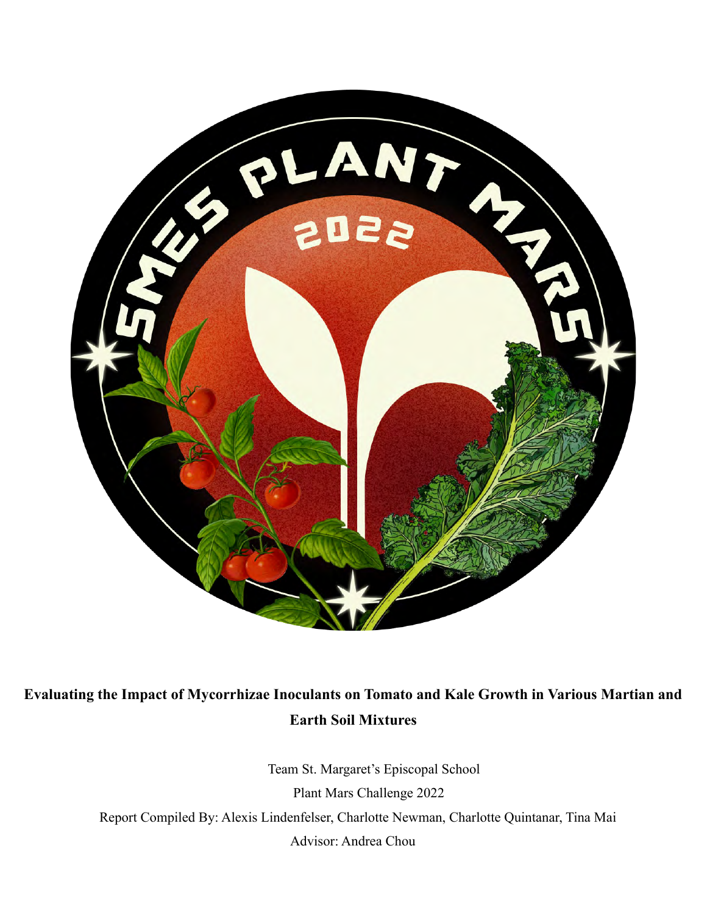

# **Evaluating the Impact of Mycorrhizae Inoculants on Tomato and Kale Growth in Various Martian and Earth Soil Mixtures**

Team St. Margaret's Episcopal School Plant Mars Challenge 2022 Report Compiled By: Alexis Lindenfelser, Charlotte Newman, Charlotte Quintanar, Tina Mai Advisor: Andrea Chou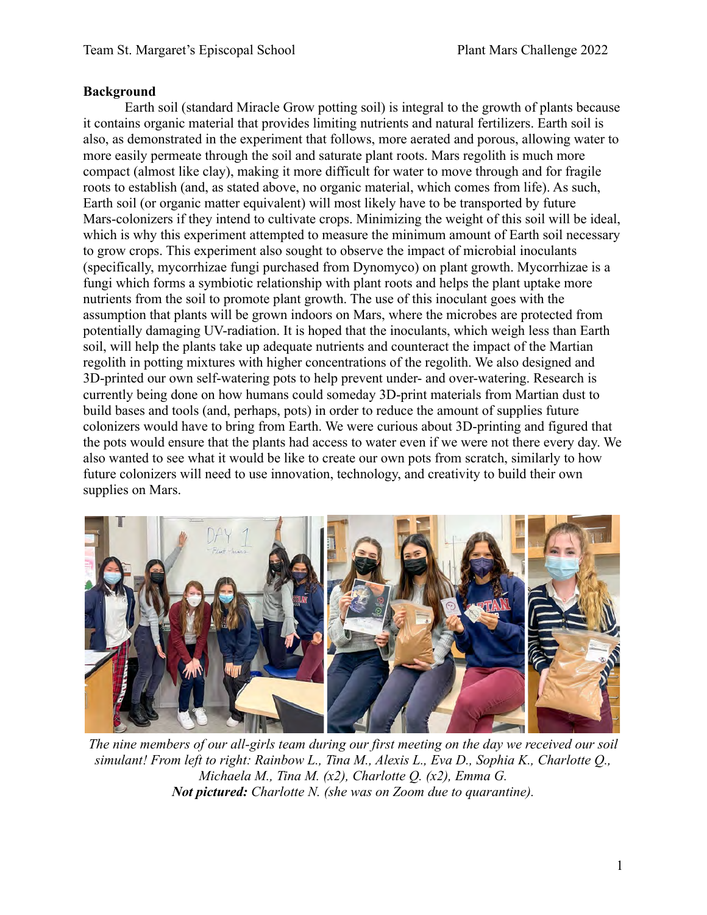#### **Background**

Earth soil (standard Miracle Grow potting soil) is integral to the growth of plants because it contains organic material that provides limiting nutrients and natural fertilizers. Earth soil is also, as demonstrated in the experiment that follows, more aerated and porous, allowing water to more easily permeate through the soil and saturate plant roots. Mars regolith is much more compact (almost like clay), making it more difficult for water to move through and for fragile roots to establish (and, as stated above, no organic material, which comes from life). As such, Earth soil (or organic matter equivalent) will most likely have to be transported by future Mars-colonizers if they intend to cultivate crops. Minimizing the weight of this soil will be ideal, which is why this experiment attempted to measure the minimum amount of Earth soil necessary to grow crops. This experiment also sought to observe the impact of microbial inoculants (specifically, mycorrhizae fungi purchased from Dynomyco) on plant growth. Mycorrhizae is a fungi which forms a symbiotic relationship with plant roots and helps the plant uptake more nutrients from the soil to promote plant growth. The use of this inoculant goes with the assumption that plants will be grown indoors on Mars, where the microbes are protected from potentially damaging UV-radiation. It is hoped that the inoculants, which weigh less than Earth soil, will help the plants take up adequate nutrients and counteract the impact of the Martian regolith in potting mixtures with higher concentrations of the regolith. We also designed and 3D-printed our own self-watering pots to help prevent under- and over-watering. Research is currently being done on how humans could someday 3D-print materials from Martian dust to build bases and tools (and, perhaps, pots) in order to reduce the amount of supplies future colonizers would have to bring from Earth. We were curious about 3D-printing and figured that the pots would ensure that the plants had access to water even if we were not there every day. We also wanted to see what it would be like to create our own pots from scratch, similarly to how future colonizers will need to use innovation, technology, and creativity to build their own supplies on Mars.



*The nine members of our all-girls team during our first meeting on the day we received our soil simulant! From left to right: Rainbow L., Tina M., Alexis L., Eva D., Sophia K., Charlotte Q., Michaela M., Tina M. (x2), Charlotte Q. (x2), Emma G. Not pictured: Charlotte N. (she was on Zoom due to quarantine).*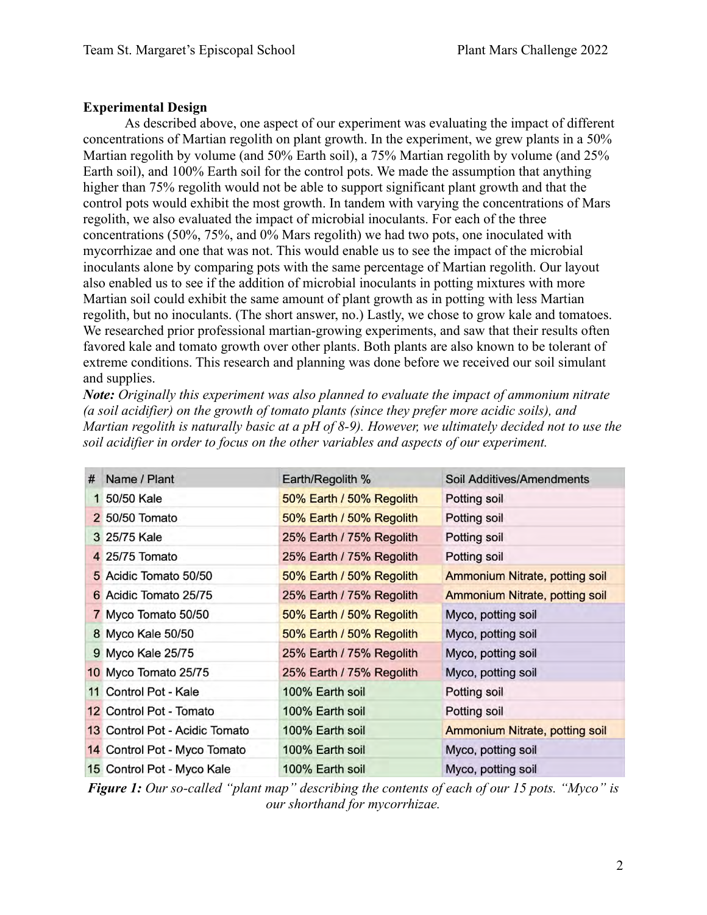## **Experimental Design**

As described above, one aspect of our experiment was evaluating the impact of different concentrations of Martian regolith on plant growth. In the experiment, we grew plants in a 50% Martian regolith by volume (and 50% Earth soil), a 75% Martian regolith by volume (and 25% Earth soil), and 100% Earth soil for the control pots. We made the assumption that anything higher than 75% regolith would not be able to support significant plant growth and that the control pots would exhibit the most growth. In tandem with varying the concentrations of Mars regolith, we also evaluated the impact of microbial inoculants. For each of the three concentrations (50%, 75%, and 0% Mars regolith) we had two pots, one inoculated with mycorrhizae and one that was not. This would enable us to see the impact of the microbial inoculants alone by comparing pots with the same percentage of Martian regolith. Our layout also enabled us to see if the addition of microbial inoculants in potting mixtures with more Martian soil could exhibit the same amount of plant growth as in potting with less Martian regolith, but no inoculants. (The short answer, no.) Lastly, we chose to grow kale and tomatoes. We researched prior professional martian-growing experiments, and saw that their results often favored kale and tomato growth over other plants. Both plants are also known to be tolerant of extreme conditions. This research and planning was done before we received our soil simulant and supplies.

*Note: Originally this experiment was also planned to evaluate the impact of ammonium nitrate (a soil acidifier) on the growth of tomato plants (since they prefer more acidic soils), and Martian regolith is naturally basic at a pH of 8-9). However, we ultimately decided not to use the soil acidifier in order to focus on the other variables and aspects of our experiment.*

| # | Name / Plant                   | Earth/Regolith %         | Soil Additives/Amendments             |
|---|--------------------------------|--------------------------|---------------------------------------|
|   | 1 50/50 Kale                   | 50% Earth / 50% Regolith | Potting soil                          |
|   | 2 50/50 Tomato                 | 50% Earth / 50% Regolith | Potting soil                          |
|   | 3 25/75 Kale                   | 25% Earth / 75% Regolith | Potting soil                          |
|   | 4 25/75 Tomato                 | 25% Earth / 75% Regolith | Potting soil                          |
|   | 5 Acidic Tomato 50/50          | 50% Earth / 50% Regolith | <b>Ammonium Nitrate, potting soil</b> |
|   | 6 Acidic Tomato 25/75          | 25% Earth / 75% Regolith | <b>Ammonium Nitrate, potting soil</b> |
|   | 7 Myco Tomato 50/50            | 50% Earth / 50% Regolith | Myco, potting soil                    |
|   | 8 Myco Kale 50/50              | 50% Earth / 50% Regolith | Myco, potting soil                    |
|   | 9 Myco Kale 25/75              | 25% Earth / 75% Regolith | Myco, potting soil                    |
|   | 10 Myco Tomato 25/75           | 25% Earth / 75% Regolith | Myco, potting soil                    |
|   | 11 Control Pot - Kale          | 100% Earth soil          | Potting soil                          |
|   | 12 Control Pot - Tomato        | 100% Earth soil          | Potting soil                          |
|   | 13 Control Pot - Acidic Tomato | 100% Earth soil          | <b>Ammonium Nitrate, potting soil</b> |
|   | 14 Control Pot - Myco Tomato   | 100% Earth soil          | Myco, potting soil                    |
|   | 15 Control Pot - Myco Kale     | 100% Earth soil          | Myco, potting soil                    |

*Figure 1: Our so-called "plant map" describing the contents of each of our 15 pots. "Myco" is our shorthand for mycorrhizae.*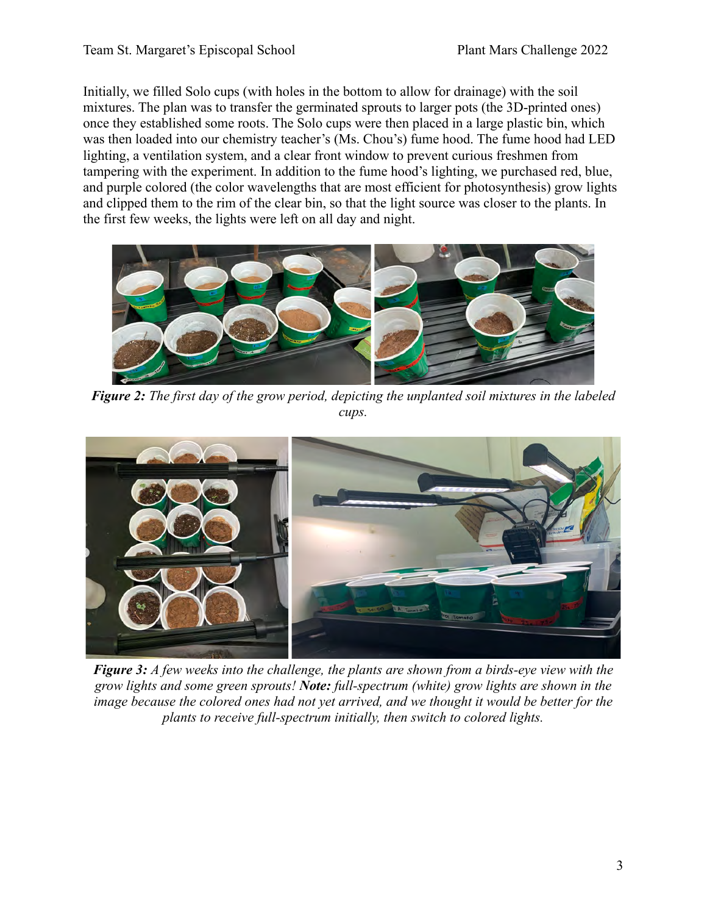Initially, we filled Solo cups (with holes in the bottom to allow for drainage) with the soil mixtures. The plan was to transfer the germinated sprouts to larger pots (the 3D-printed ones) once they established some roots. The Solo cups were then placed in a large plastic bin, which was then loaded into our chemistry teacher's (Ms. Chou's) fume hood. The fume hood had LED lighting, a ventilation system, and a clear front window to prevent curious freshmen from tampering with the experiment. In addition to the fume hood's lighting, we purchased red, blue, and purple colored (the color wavelengths that are most efficient for photosynthesis) grow lights and clipped them to the rim of the clear bin, so that the light source was closer to the plants. In the first few weeks, the lights were left on all day and night.



*Figure 2: The first day of the grow period, depicting the unplanted soil mixtures in the labeled cups.*



*Figure 3: A few weeks into the challenge, the plants are shown from a birds-eye view with the grow lights and some green sprouts! Note: full-spectrum (white) grow lights are shown in the image because the colored ones had not yet arrived, and we thought it would be better for the plants to receive full-spectrum initially, then switch to colored lights.*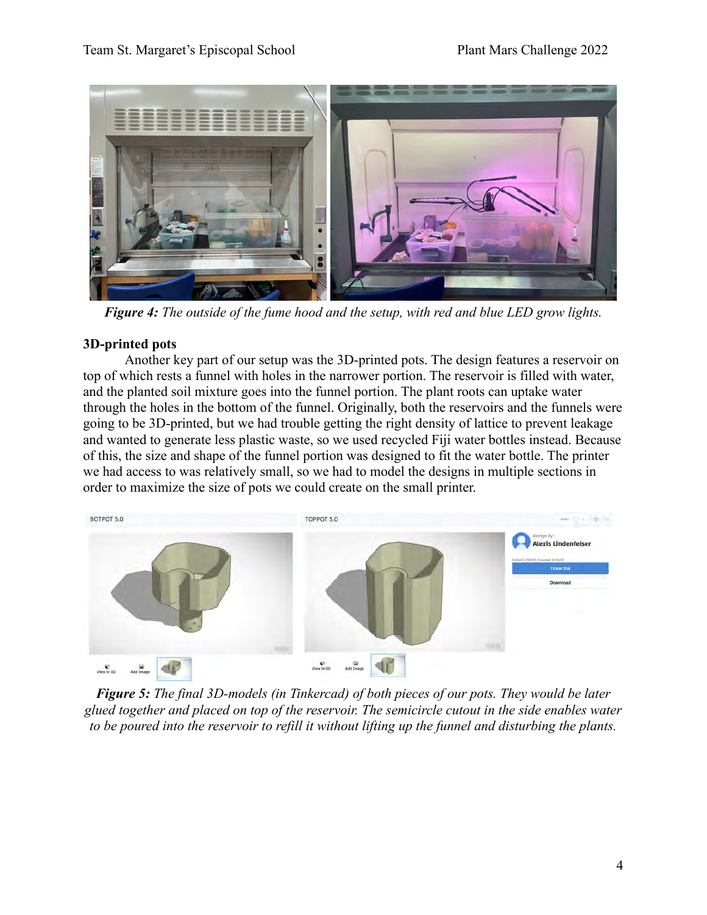

*Figure 4: The outside of the fume hood and the setup, with red and blue LED grow lights.*

## **3D-printed pots**

Another key part of our setup was the 3D-printed pots. The design features a reservoir on top of which rests a funnel with holes in the narrower portion. The reservoir is filled with water, and the planted soil mixture goes into the funnel portion. The plant roots can uptake water through the holes in the bottom of the funnel. Originally, both the reservoirs and the funnels were going to be 3D-printed, but we had trouble getting the right density of lattice to prevent leakage and wanted to generate less plastic waste, so we used recycled Fiji water bottles instead. Because of this, the size and shape of the funnel portion was designed to fit the water bottle. The printer we had access to was relatively small, so we had to model the designs in multiple sections in order to maximize the size of pots we could create on the small printer.



*Figure 5: The final 3D-models (in Tinkercad) of both pieces of our pots. They would be later glued together and placed on top of the reservoir. The semicircle cutout in the side enables water to be poured into the reservoir to refill it without lifting up the funnel and disturbing the plants.*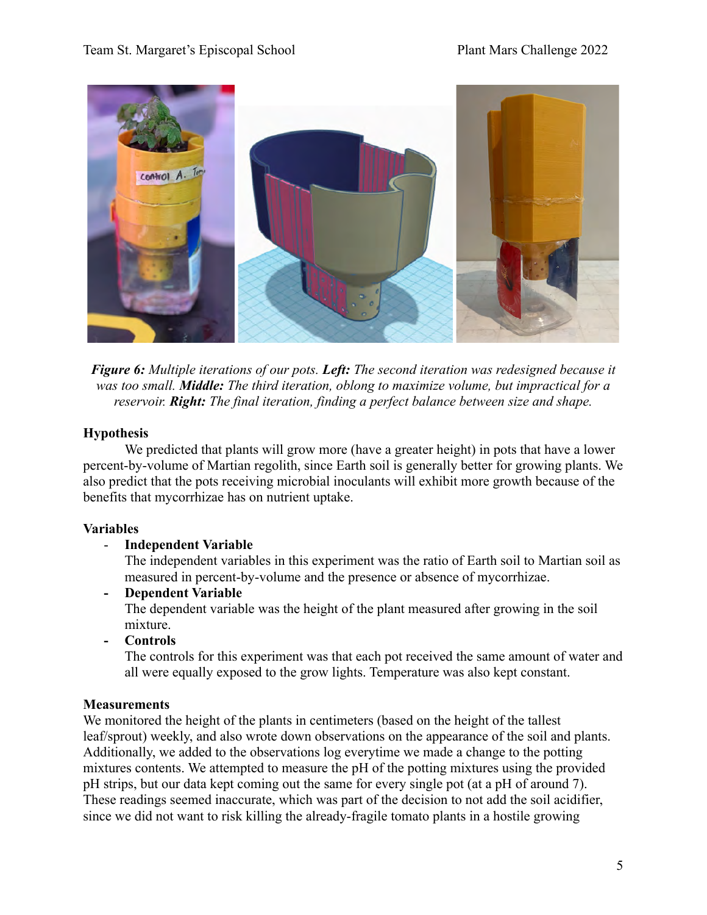

*Figure 6: Multiple iterations of our pots. Left: The second iteration was redesigned because it was too small. Middle: The third iteration, oblong to maximize volume, but impractical for a reservoir. Right: The final iteration, finding a perfect balance between size and shape.*

## **Hypothesis**

We predicted that plants will grow more (have a greater height) in pots that have a lower percent-by-volume of Martian regolith, since Earth soil is generally better for growing plants. We also predict that the pots receiving microbial inoculants will exhibit more growth because of the benefits that mycorrhizae has on nutrient uptake.

## **Variables**

- **Independent Variable**

The independent variables in this experiment was the ratio of Earth soil to Martian soil as measured in percent-by-volume and the presence or absence of mycorrhizae.

- **Dependent Variable** The dependent variable was the height of the plant measured after growing in the soil mixture.
- **Controls**

The controls for this experiment was that each pot received the same amount of water and all were equally exposed to the grow lights. Temperature was also kept constant.

## **Measurements**

We monitored the height of the plants in centimeters (based on the height of the tallest leaf/sprout) weekly, and also wrote down observations on the appearance of the soil and plants. Additionally, we added to the observations log everytime we made a change to the potting mixtures contents. We attempted to measure the pH of the potting mixtures using the provided pH strips, but our data kept coming out the same for every single pot (at a pH of around 7). These readings seemed inaccurate, which was part of the decision to not add the soil acidifier, since we did not want to risk killing the already-fragile tomato plants in a hostile growing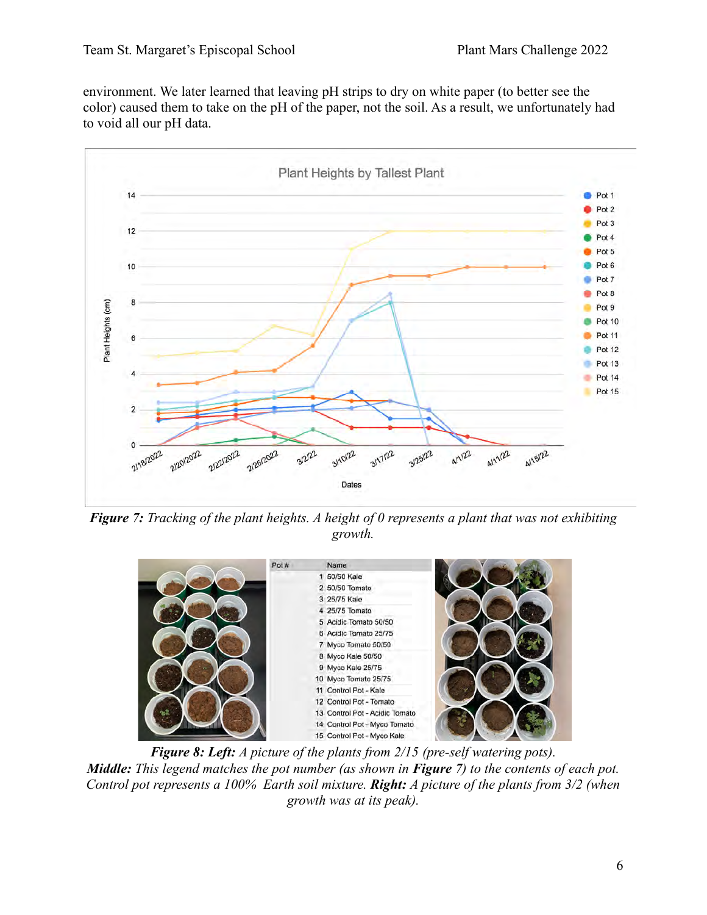environment. We later learned that leaving pH strips to dry on white paper (to better see the color) caused them to take on the pH of the paper, not the soil. As a result, we unfortunately had to void all our pH data.



*Figure 7: Tracking of the plant heights. A height of 0 represents a plant that was not exhibiting growth.*



*Figure 8: Left: A picture of the plants from 2/15 (pre-self watering pots). Middle: This legend matches the pot number (as shown in Figure 7) to the contents of each pot. Control pot represents a 100% Earth soil mixture. Right: A picture of the plants from 3/2 (when growth was at its peak).*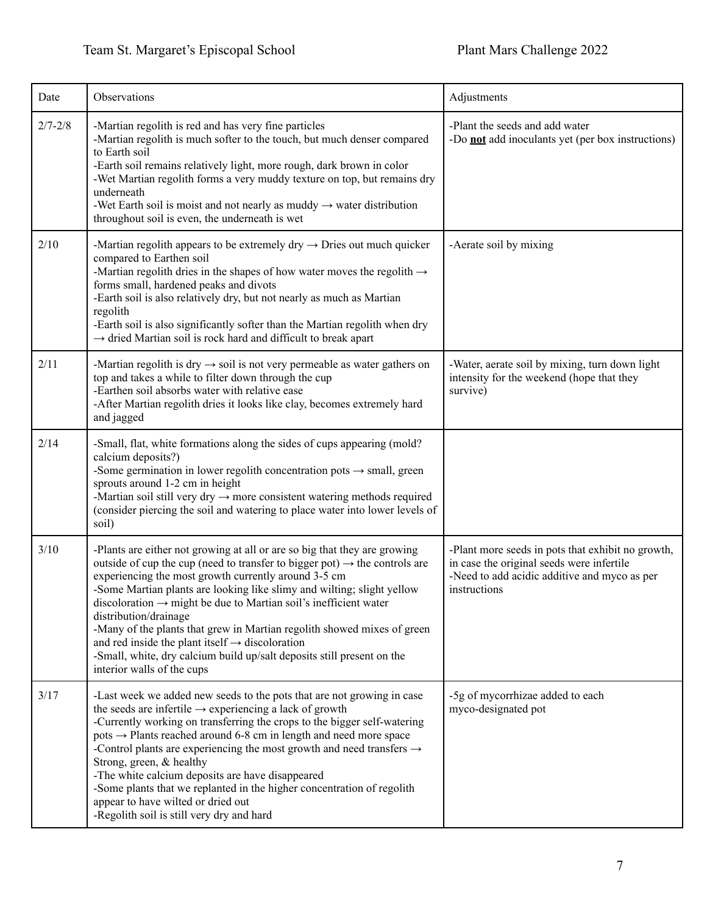| Date        | Observations                                                                                                                                                                                                                                                                                                                                                                                                                                                                                                                                                                                                                                                     | Adjustments                                                                                                                                                    |
|-------------|------------------------------------------------------------------------------------------------------------------------------------------------------------------------------------------------------------------------------------------------------------------------------------------------------------------------------------------------------------------------------------------------------------------------------------------------------------------------------------------------------------------------------------------------------------------------------------------------------------------------------------------------------------------|----------------------------------------------------------------------------------------------------------------------------------------------------------------|
| $2/7 - 2/8$ | -Martian regolith is red and has very fine particles<br>-Martian regolith is much softer to the touch, but much denser compared<br>to Earth soil<br>-Earth soil remains relatively light, more rough, dark brown in color<br>-Wet Martian regolith forms a very muddy texture on top, but remains dry<br>underneath<br>-Wet Earth soil is moist and not nearly as muddy $\rightarrow$ water distribution<br>throughout soil is even, the underneath is wet                                                                                                                                                                                                       | -Plant the seeds and add water<br>-Do <b>not</b> add inoculants yet (per box instructions)                                                                     |
| 2/10        | -Martian regolith appears to be extremely dry $\rightarrow$ Dries out much quicker<br>compared to Earthen soil<br>-Martian regolith dries in the shapes of how water moves the regolith $\rightarrow$<br>forms small, hardened peaks and divots<br>-Earth soil is also relatively dry, but not nearly as much as Martian<br>regolith<br>-Earth soil is also significantly softer than the Martian regolith when dry<br>$\rightarrow$ dried Martian soil is rock hard and difficult to break apart                                                                                                                                                                | -Aerate soil by mixing                                                                                                                                         |
| 2/11        | -Martian regolith is dry $\rightarrow$ soil is not very permeable as water gathers on<br>top and takes a while to filter down through the cup<br>-Earthen soil absorbs water with relative ease<br>-After Martian regolith dries it looks like clay, becomes extremely hard<br>and jagged                                                                                                                                                                                                                                                                                                                                                                        | -Water, aerate soil by mixing, turn down light<br>intensity for the weekend (hope that they<br>survive)                                                        |
| 2/14        | -Small, flat, white formations along the sides of cups appearing (mold?<br>calcium deposits?)<br>-Some germination in lower regolith concentration pots $\rightarrow$ small, green<br>sprouts around 1-2 cm in height<br>-Martian soil still very dry $\rightarrow$ more consistent watering methods required<br>(consider piercing the soil and watering to place water into lower levels of<br>soil)                                                                                                                                                                                                                                                           |                                                                                                                                                                |
| 3/10        | -Plants are either not growing at all or are so big that they are growing<br>outside of cup the cup (need to transfer to bigger pot) $\rightarrow$ the controls are<br>experiencing the most growth currently around 3-5 cm<br>-Some Martian plants are looking like slimy and wilting; slight yellow<br>discoloration $\rightarrow$ might be due to Martian soil's inefficient water<br>distribution/drainage<br>-Many of the plants that grew in Martian regolith showed mixes of green<br>and red inside the plant itself $\rightarrow$ discoloration<br>-Small, white, dry calcium build up/salt deposits still present on the<br>interior walls of the cups | -Plant more seeds in pots that exhibit no growth,<br>in case the original seeds were infertile<br>-Need to add acidic additive and myco as per<br>instructions |
| 3/17        | -Last week we added new seeds to the pots that are not growing in case<br>the seeds are infertile $\rightarrow$ experiencing a lack of growth<br>-Currently working on transferring the crops to the bigger self-watering<br>pots $\rightarrow$ Plants reached around 6-8 cm in length and need more space<br>-Control plants are experiencing the most growth and need transfers $\rightarrow$<br>Strong, green, & healthy<br>-The white calcium deposits are have disappeared<br>-Some plants that we replanted in the higher concentration of regolith<br>appear to have wilted or dried out<br>-Regolith soil is still very dry and hard                     | -5g of mycorrhizae added to each<br>myco-designated pot                                                                                                        |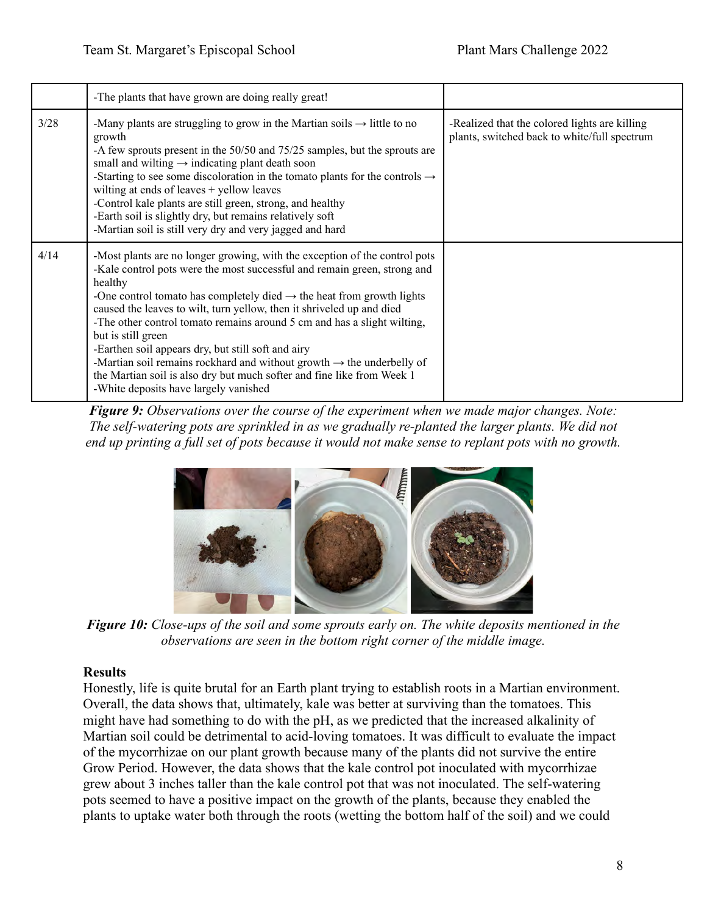|      | -The plants that have grown are doing really great!                                                                                                                                                                                                                                                                                                                                                                                                                                                                                                                                                                                                                                            |                                                                                               |
|------|------------------------------------------------------------------------------------------------------------------------------------------------------------------------------------------------------------------------------------------------------------------------------------------------------------------------------------------------------------------------------------------------------------------------------------------------------------------------------------------------------------------------------------------------------------------------------------------------------------------------------------------------------------------------------------------------|-----------------------------------------------------------------------------------------------|
| 3/28 | -Many plants are struggling to grow in the Martian soils $\rightarrow$ little to no<br>growth<br>-A few sprouts present in the 50/50 and 75/25 samples, but the sprouts are<br>small and wilting $\rightarrow$ indicating plant death soon<br>-Starting to see some discoloration in the tomato plants for the controls $\rightarrow$<br>wilting at ends of leaves $+$ yellow leaves<br>-Control kale plants are still green, strong, and healthy<br>-Earth soil is slightly dry, but remains relatively soft<br>-Martian soil is still very dry and very jagged and hard                                                                                                                      | -Realized that the colored lights are killing<br>plants, switched back to white/full spectrum |
| 4/14 | -Most plants are no longer growing, with the exception of the control pots<br>-Kale control pots were the most successful and remain green, strong and<br>healthy<br>-One control tomato has completely died $\rightarrow$ the heat from growth lights<br>caused the leaves to wilt, turn yellow, then it shriveled up and died<br>-The other control tomato remains around 5 cm and has a slight wilting,<br>but is still green<br>-Earthen soil appears dry, but still soft and airy<br>-Martian soil remains rockhard and without growth $\rightarrow$ the underbelly of<br>the Martian soil is also dry but much softer and fine like from Week 1<br>-White deposits have largely vanished |                                                                                               |

*Figure 9: Observations over the course of the experiment when we made major changes. Note: The self-watering pots are sprinkled in as we gradually re-planted the larger plants. We did not end up printing a full set of pots because it would not make sense to replant pots with no growth.*



*Figure 10: Close-ups of the soil and some sprouts early on. The white deposits mentioned in the observations are seen in the bottom right corner of the middle image.*

## **Results**

Honestly, life is quite brutal for an Earth plant trying to establish roots in a Martian environment. Overall, the data shows that, ultimately, kale was better at surviving than the tomatoes. This might have had something to do with the pH, as we predicted that the increased alkalinity of Martian soil could be detrimental to acid-loving tomatoes. It was difficult to evaluate the impact of the mycorrhizae on our plant growth because many of the plants did not survive the entire Grow Period. However, the data shows that the kale control pot inoculated with mycorrhizae grew about 3 inches taller than the kale control pot that was not inoculated. The self-watering pots seemed to have a positive impact on the growth of the plants, because they enabled the plants to uptake water both through the roots (wetting the bottom half of the soil) and we could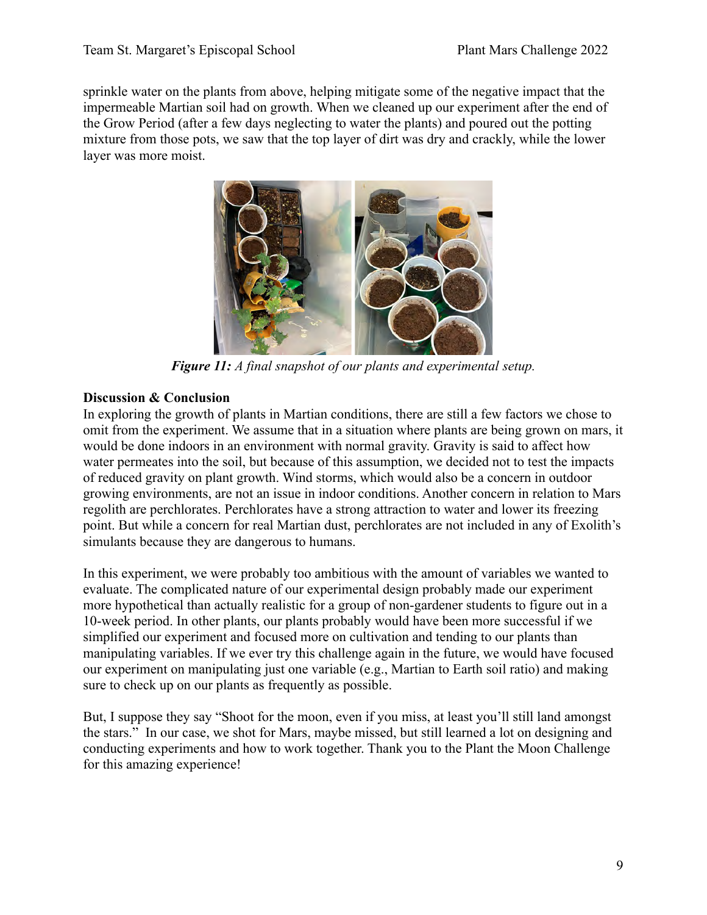sprinkle water on the plants from above, helping mitigate some of the negative impact that the impermeable Martian soil had on growth. When we cleaned up our experiment after the end of the Grow Period (after a few days neglecting to water the plants) and poured out the potting mixture from those pots, we saw that the top layer of dirt was dry and crackly, while the lower layer was more moist.



*Figure 11: A final snapshot of our plants and experimental setup.*

## **Discussion & Conclusion**

In exploring the growth of plants in Martian conditions, there are still a few factors we chose to omit from the experiment. We assume that in a situation where plants are being grown on mars, it would be done indoors in an environment with normal gravity. Gravity is said to affect how water permeates into the soil, but because of this assumption, we decided not to test the impacts of reduced gravity on plant growth. Wind storms, which would also be a concern in outdoor growing environments, are not an issue in indoor conditions. Another concern in relation to Mars regolith are perchlorates. Perchlorates have a strong attraction to water and lower its freezing point. But while a concern for real Martian dust, perchlorates are not included in any of Exolith's simulants because they are dangerous to humans.

In this experiment, we were probably too ambitious with the amount of variables we wanted to evaluate. The complicated nature of our experimental design probably made our experiment more hypothetical than actually realistic for a group of non-gardener students to figure out in a 10-week period. In other plants, our plants probably would have been more successful if we simplified our experiment and focused more on cultivation and tending to our plants than manipulating variables. If we ever try this challenge again in the future, we would have focused our experiment on manipulating just one variable (e.g., Martian to Earth soil ratio) and making sure to check up on our plants as frequently as possible.

But, I suppose they say "Shoot for the moon, even if you miss, at least you'll still land amongst the stars." In our case, we shot for Mars, maybe missed, but still learned a lot on designing and conducting experiments and how to work together. Thank you to the Plant the Moon Challenge for this amazing experience!